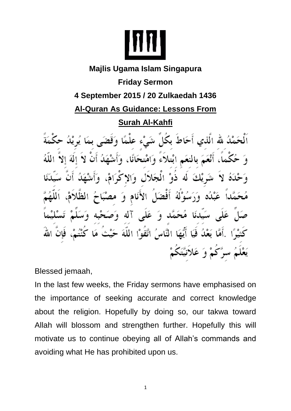

## **Majlis Ugama Islam Singapura Friday Sermon 4 September 2015 / 20 Zulkaedah 1436 Al-Quran As Guidance: Lessons From Surah Al-Kahfi**  لُ لله الَّذي أَحَاطَ بكُلِّ شَىْء علْمًا بالنعَم آبْتلاء وَامْتحَانًا، وْ الْمَجَلاَل ە∖لا

عَلَى آله وَ

عَبْلُه وَرَسُوْلَهُ أَفْضَلَ الأَنَامِ وَ

بَعْدُ فَيَا أَيُّهَا النَّاسُ اتَّقَوْا اللَّهَ -

سَيّدنَا مُحَمَّد وَ

يَعْلَمُ سرَّكُمْ وَ عَلاَنيَّتَكُمْ

Blessed jemaah,

In the last few weeks, the Friday sermons have emphasised on the importance of seeking accurate and correct knowledge about the religion. Hopefully by doing so, our takwa toward Allah will blossom and strengthen further. Hopefully this will motivate us to continue obeying all of Allah's commands and avoiding what He has prohibited upon us.

1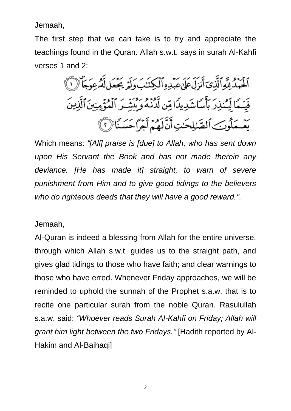Jemaah,

The first step that we can take is to try and appreciate the teachings found in the Quran. Allah s.w.t. says in surah Al-Kahfi verses 1 and 2:

> مَّ مِعْ اللَّهِ ٱلَّذِىٓ أَنزِلَ عَلَىٰ عَبۡدِهِ ٱلۡكِنۡنَبَ وَلَمَّ يَجۡعَل لَّهُۥعِوَجَا ۚ لَّ قَيَّـمَا لِيُمْذِرَ بِأَسَاشَدِيدَا مِّن لَّدْنَهُ وَبِيَّتِيرَ ٱلْمُؤْمِنِينَٱلَّذِينَ يَعْمَلُونَ ٱلصَّلِحَٰتِ أَنَّكَهُمْ أَجْرَاحَسَنَا (١)

Which means: *"[All] praise is [due] to Allah, who has sent down upon His Servant the Book and has not made therein any deviance. [He has made it] straight, to warn of severe punishment from Him and to give good tidings to the believers who do righteous deeds that they will have a good reward."*.

Jemaah,

Al-Quran is indeed a blessing from Allah for the entire universe, through which Allah s.w.t. guides us to the straight path, and gives glad tidings to those who have faith; and clear warnings to those who have erred. Whenever Friday approaches, we will be reminded to uphold the sunnah of the Prophet s.a.w. that is to recite one particular surah from the noble Quran. Rasulullah s.a.w. said: *"Whoever reads Surah Al-Kahfi on Friday; Allah will grant him light between the two Fridays."* [Hadith reported by Al-Hakim and Al-Baihaqi]

2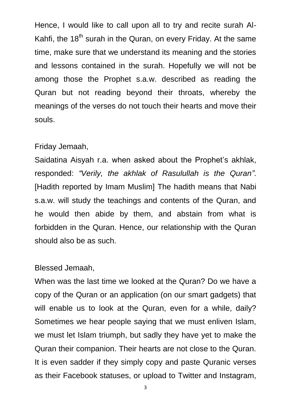Hence, I would like to call upon all to try and recite surah Al-Kahfi, the  $18<sup>th</sup>$  surah in the Quran, on every Friday. At the same time, make sure that we understand its meaning and the stories and lessons contained in the surah. Hopefully we will not be among those the Prophet s.a.w. described as reading the Quran but not reading beyond their throats, whereby the meanings of the verses do not touch their hearts and move their souls.

## Friday Jemaah,

Saidatina Aisyah r.a. when asked about the Prophet's akhlak, responded: *"Verily, the akhlak of Rasulullah is the Quran"*. [Hadith reported by Imam Muslim] The hadith means that Nabi s.a.w. will study the teachings and contents of the Quran, and he would then abide by them, and abstain from what is forbidden in the Quran. Hence, our relationship with the Quran should also be as such.

## Blessed Jemaah,

When was the last time we looked at the Quran? Do we have a copy of the Quran or an application (on our smart gadgets) that will enable us to look at the Quran, even for a while, daily? Sometimes we hear people saying that we must enliven Islam, we must let Islam triumph, but sadly they have yet to make the Quran their companion. Their hearts are not close to the Quran. It is even sadder if they simply copy and paste Quranic verses as their Facebook statuses, or upload to Twitter and Instagram,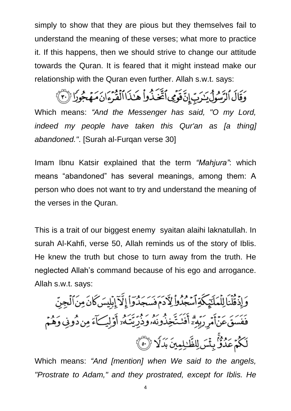simply to show that they are pious but they themselves fail to understand the meaning of these verses; what more to practice it. If this happens, then we should strive to change our attitude towards the Quran. It is feared that it might instead make our relationship with the Quran even further. Allah s.w.t. says:

وَقَالَ ٱلرَّسُولُ يَنْرَبِّ إِنَّ قَوْمِي ٱتَّتَّذُواْ هَـٰذَا ٱلْقُرْءَانَ مَهَجُوزًا (بَيْنَ }

Which means: *"And the Messenger has said, "O my Lord, indeed my people have taken this Qur'an as [a thing] abandoned."*. [Surah al-Furqan verse 30]

Imam Ibnu Katsir explained that the term *"Mahjura"*: which means "abandoned" has several meanings, among them: A person who does not want to try and understand the meaning of the verses in the Quran.

This is a trait of our biggest enemy syaitan alaihi laknatullah. In surah Al-Kahfi, verse 50, Allah reminds us of the story of Iblis. He knew the truth but chose to turn away from the truth. He neglected Allah's command because of his ego and arrogance. Allah s.w.t. says:

وَإِذْ قُلْنَا لِلْمَلَيْمِكَةِ آسَجُدُواْ لِأَدَمَ فَسَجَدُوَاْ إِلَّآ إِبْلِيسَ كَانَ مِنَ ٱلْجِنِّ فَفَسَقَ عَنۡأَمۡرِ رَبِّهِۦۗٓ أَفَنَـٰتَخِذُونَهُۥوَذُرِّيَّـَـٰهُۥٓ أَوۡلِيَـَـٰٓءَ مِن دُونِى وَهُمۡم لَكُمْ عَدُوٌّ بِثْسَ لِلظَّٰلِمِينَ بَدَلًا ۚ ( ۚ)

Which means: *"And [mention] when We said to the angels, "Prostrate to Adam," and they prostrated, except for Iblis. He*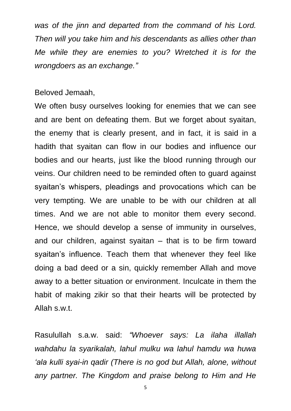*was of the jinn and departed from the command of his Lord. Then will you take him and his descendants as allies other than Me while they are enemies to you? Wretched it is for the wrongdoers as an exchange."*

## Beloved Jemaah,

We often busy ourselves looking for enemies that we can see and are bent on defeating them. But we forget about syaitan, the enemy that is clearly present, and in fact, it is said in a hadith that syaitan can flow in our bodies and influence our bodies and our hearts, just like the blood running through our veins. Our children need to be reminded often to guard against syaitan's whispers, pleadings and provocations which can be very tempting. We are unable to be with our children at all times. And we are not able to monitor them every second. Hence, we should develop a sense of immunity in ourselves, and our children, against syaitan – that is to be firm toward syaitan's influence. Teach them that whenever they feel like doing a bad deed or a sin, quickly remember Allah and move away to a better situation or environment. Inculcate in them the habit of making zikir so that their hearts will be protected by Allah s.w.t.

Rasulullah s.a.w. said: *"Whoever says: La ilaha illallah wahdahu la syarikalah, lahul mulku wa lahul hamdu wa huwa 'ala kulli syai-in qadir (There is no god but Allah, alone, without any partner. The Kingdom and praise belong to Him and He*